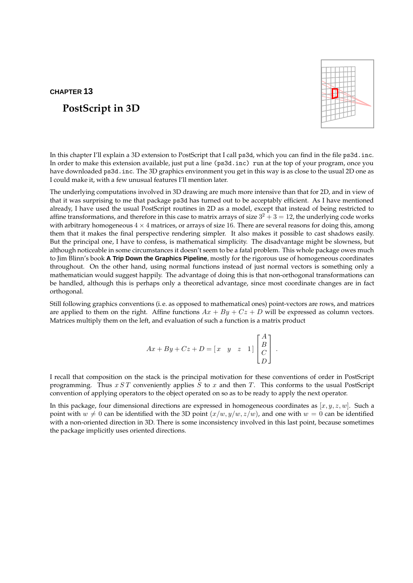# **CHAPTER 13**

# **PostScript in 3D**



In this chapter I'll explain a 3D extension to PostScript that I call ps3d, which you can find in the file ps3d.inc. In order to make this extension available, just put a line (ps3d.inc) run at the top of your program, once you have downloaded ps3d.inc. The 3D graphics environment you get in this way is as close to the usual 2D one as I could make it, with a few unusual features I'll mention later.

The underlying computations involved in 3D drawing are much more intensive than that for 2D, and in view of that it was surprising to me that package ps3d has turned out to be acceptably efficient. As I have mentioned already, I have used the usual PostScript routines in 2D as a model, except that instead of being restricted to affine transformations, and therefore in this case to matrix arrays of size  $3^2 + 3 = 12$ , the underlying code works with arbitrary homogeneous  $4 \times 4$  matrices, or arrays of size 16. There are several reasons for doing this, among them that it makes the final perspective rendering simpler. It also makes it possible to cast shadows easily. But the principal one, I have to confess, is mathematical simplicity. The disadvantage might be slowness, but although noticeable in some circumstances it doesn't seem to be a fatal problem. This whole package owes much to Jim Blinn's book **A Trip Down the Graphics Pipeline**, mostly for the rigorous use of homogeneous coordinates throughout. On the other hand, using normal functions instead of just normal vectors is something only a mathematician would suggest happily. The advantage of doing this is that non-orthogonal transformations can be handled, although this is perhaps only a theoretical advantage, since most coordinate changes are in fact orthogonal.

Still following graphics conventions (i.e. as opposed to mathematical ones) point-vectors are rows, and matrices are applied to them on the right. Affine functions  $Ax + By + Cz + D$  will be expressed as column vectors. Matrices multiply them on the left, and evaluation of such a function is a matrix product

$$
Ax + By + Cz + D = \begin{bmatrix} x & y & z & 1 \end{bmatrix} \begin{bmatrix} A \\ B \\ C \\ D \end{bmatrix}.
$$

I recall that composition on the stack is the principal motivation for these conventions of order in PostScript programming. Thus  $x ST$  conveniently applies  $S$  to  $x$  and then  $T$ . This conforms to the usual PostScript convention of applying operators to the object operated on so as to be ready to apply the next operator.

In this package, four dimensional directions are expressed in homogeneous coordinates as  $[x, y, z, w]$ . Such a point with  $w \neq 0$  can be identified with the 3D point  $(x/w, y/w, z/w)$ , and one with  $w = 0$  can be identified with a non-oriented direction in 3D. There is some inconsistency involved in this last point, because sometimes the package implicitly uses oriented directions.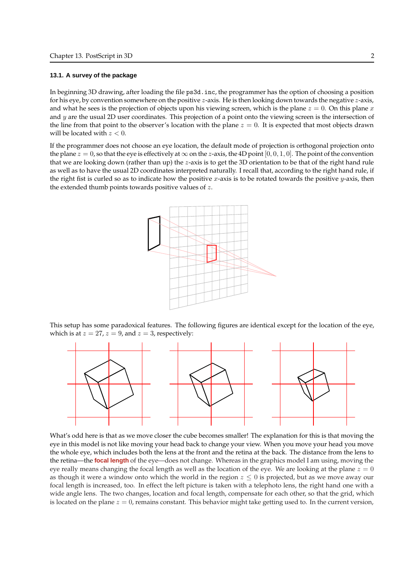#### **13.1. A survey of the package**

In beginning 3D drawing, after loading the file ps3d.inc, the programmer has the option of choosing a position for his eye, by convention somewhere on the positive  $z$ -axis. He is then looking down towards the negative  $z$ -axis, and what he sees is the projection of objects upon his viewing screen, which is the plane  $z = 0$ . On this plane x and  $y$  are the usual 2D user coordinates. This projection of a point onto the viewing screen is the intersection of the line from that point to the observer's location with the plane  $z = 0$ . It is expected that most objects drawn will be located with  $z < 0$ .

If the programmer does not choose an eye location, the default mode of projection is orthogonal projection onto the plane  $z = 0$ , so that the eye is effectively at  $\infty$  on the z-axis, the 4D point [0, 0, 1, 0]. The point of the convention that we are looking down (rather than up) the z-axis is to get the 3D orientation to be that of the right hand rule as well as to have the usual 2D coordinates interpreted naturally. I recall that, according to the right hand rule, if the right fist is curled so as to indicate how the positive  $x$ -axis is to be rotated towards the positive  $y$ -axis, then the extended thumb points towards positive values of z.



This setup has some paradoxical features. The following figures are identical except for the location of the eye, which is at  $z = 27$ ,  $z = 9$ , and  $z = 3$ , respectively:



What's odd here is that as we move closer the cube becomes smaller! The explanation for this is that moving the eye in this model is not like moving your head back to change your view. When you move your head you move the whole eye, which includes both the lens at the front and the retina at the back. The distance from the lens to the retina—the **focal length** of the eye—does not change. Whereas in the graphics model I am using, moving the eye really means changing the focal length as well as the location of the eye. We are looking at the plane  $z = 0$ as though it were a window onto which the world in the region  $z \leq 0$  is projected, but as we move away our focal length is increased, too. In effect the left picture is taken with a telephoto lens, the right hand one with a wide angle lens. The two changes, location and focal length, compensate for each other, so that the grid, which is located on the plane  $z = 0$ , remains constant. This behavior might take getting used to. In the current version,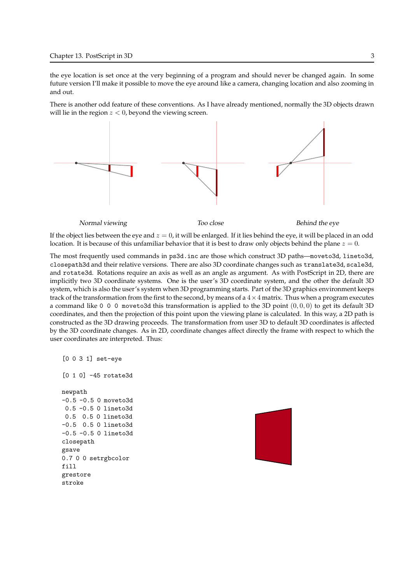the eye location is set once at the very beginning of a program and should never be changed again. In some future version I'll make it possible to move the eye around like a camera, changing location and also zooming in and out.

There is another odd feature of these conventions. As I have already mentioned, normally the 3D objects drawn will lie in the region  $z < 0$ , beyond the viewing screen.



If the object lies between the eye and  $z = 0$ , it will be enlarged. If it lies behind the eye, it will be placed in an odd location. It is because of this unfamiliar behavior that it is best to draw only objects behind the plane  $z = 0$ .

The most frequently used commands in ps3d.inc are those which construct 3D paths—moveto3d, lineto3d, closepath3d and their relative versions. There are also 3D coordinate changes such as translate3d, scale3d, and rotate3d. Rotations require an axis as well as an angle as argument. As with PostScript in 2D, there are implicitly two 3D coordinate systems. One is the user's 3D coordinate system, and the other the default 3D system, which is also the user's system when 3D programming starts. Part of the 3D graphics environment keeps track of the transformation from the first to the second, by means of a  $4\times 4$  matrix. Thus when a program executes a command like 0 0 0 moveto3d this transformation is applied to the 3D point  $(0, 0, 0)$  to get its default 3D coordinates, and then the projection of this point upon the viewing plane is calculated. In this way, a 2D path is constructed as the 3D drawing proceeds. The transformation from user 3D to default 3D coordinates is affected by the 3D coordinate changes. As in 2D, coordinate changes affect directly the frame with respect to which the user coordinates are interpreted. Thus:

```
[0 0 3 1] set-eye
[0 1 0] -45 rotate3d
newpath
-0.5 -0.5 0 moveto3d
0.5 -0.5 0 lineto3d
0.5 0.5 0 lineto3d
-0.5 0.5 0 lineto3d
-0.5 -0.5 0 lineto3d
closepath
gsave
0.7 0 0 setrgbcolor
fill
grestore
stroke
```
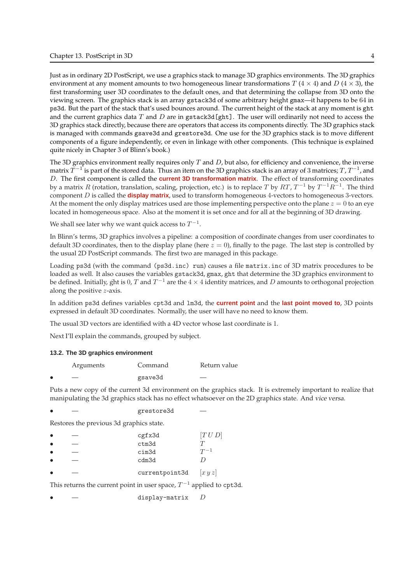Just as in ordinary 2D PostScript, we use a graphics stack to manage 3D graphics environments. The 3D graphics environment at any moment amounts to two homogeneous linear transformations T  $(4 \times 4)$  and D  $(4 \times 3)$ , the first transforming user 3D coordinates to the default ones, and that determining the collapse from 3D onto the viewing screen. The graphics stack is an array gstack3d of some arbitrary height gmax—it happens to be 64 in ps3d. But the part of the stack that's used bounces around. The current height of the stack at any moment is ght and the current graphics data  $T$  and  $D$  are in gstack3d [ght]. The user will ordinarily not need to access the 3D graphics stack directly, because there are operators that access its components directly. The 3D graphics stack is managed with commands gsave3d and grestore3d. One use for the 3D graphics stack is to move different components of a figure independently, or even in linkage with other components. (This technique is explained quite nicely in Chapter 3 of Blinn's book.)

The 3D graphics environment really requires only  $T$  and  $D$ , but also, for efficiency and convenience, the inverse matrix  $\widetilde{T}^{-1}$  is part of the stored data. Thus an item on the 3D graphics stack is an array of 3 matrices;  $T$  ,  $T^{-1}$  , and D. The first component is called the **current 3D transformation matrix**. The effect of transforming coordinates by a matrix  $R$  (rotation, translation, scaling, projection, etc.) is to replace  $T$  by  $RT$ ,  $T^{-1}$  by  $T^{-1}R^{-1}$ . The third component D is called the **display matrix**, used to transform homogeneous 4-vectors to homogeneous 3-vectors. At the moment the only display matrices used are those implementing perspective onto the plane  $z = 0$  to an eye located in homogeneous space. Also at the moment it is set once and for all at the beginning of 3D drawing.

We shall see later why we want quick access to  $T^{-1}$ .

In Blinn's terms, 3D graphics involves a pipeline: a composition of coordinate changes from user coordinates to default 3D coordinates, then to the display plane (here  $z = 0$ ), finally to the page. The last step is controlled by the usual 2D PostScript commands. The first two are managed in this package.

Loading ps3d (with the command (ps3d.inc) run) causes a file matrix.inc of 3D matrix procedures to be loaded as well. It also causes the variables gstack3d, gmax, ght that determine the 3D graphics environment to be defined. Initially, ght is 0, T and  $T^{-1}$  are the  $4 \times 4$  identity matrices, and D amounts to orthogonal projection along the positive z-axis.

In addition ps3d defines variables cpt3d and lm3d, the **current point** and the **last point moved to**, 3D points expressed in default 3D coordinates. Normally, the user will have no need to know them.

The usual 3D vectors are identified with a 4D vector whose last coordinate is 1.

Next I'll explain the commands, grouped by subject.

## **13.2. The 3D graphics environment**

|           | Arguments | Command | Return value |
|-----------|-----------|---------|--------------|
| $\bullet$ |           | gsave3d | ____         |

Puts a new copy of the current 3d environment on the graphics stack. It is extremely important to realize that manipulating the 3d graphics stack has no effect whatsoever on the 2D graphics state. And vice versa.

grestore3d

Restores the previous 3d graphics state.

| $\bullet$ |                                                                          | cgfx3d         | [T U D]  |
|-----------|--------------------------------------------------------------------------|----------------|----------|
| $\bullet$ |                                                                          | ctm3d          |          |
| $\bullet$ |                                                                          | cim3d          | $T^{-1}$ |
| $\bullet$ |                                                                          | cdm3d          |          |
| $\bullet$ |                                                                          | currentpoint3d | xyz      |
|           | This returns the current point in user space, $T^{-1}$ applied to cpt3d. |                |          |

display-matrix  $D$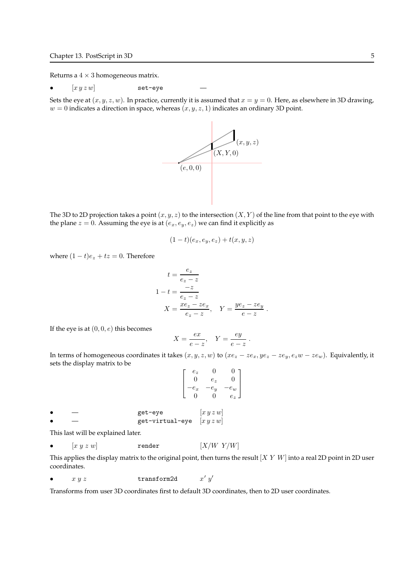Returns a  $4 \times 3$  homogeneous matrix.

•  $[x y z w]$  set-eye

Sets the eye at  $(x, y, z, w)$ . In practice, currently it is assumed that  $x = y = 0$ . Here, as elsewhere in 3D drawing,  $w = 0$  indicates a direction in space, whereas  $(x, y, z, 1)$  indicates an ordinary 3D point.



The 3D to 2D projection takes a point  $(x, y, z)$  to the intersection  $(X, Y)$  of the line from that point to the eye with the plane  $z = 0$ . Assuming the eye is at  $(e_x, e_y, e_z)$  we can find it explicitly as

$$
(1-t)(e_x,e_y,e_z)+t(x,y,z)
$$

where  $(1-t)e_z + tz = 0$ . Therefore

$$
t = \frac{e_z}{e_z - z}
$$
  
\n
$$
1 - t = \frac{-z}{e_z - z}
$$
  
\n
$$
X = \frac{xe_z - ze_x}{e_z - z}, \quad Y = \frac{ye_z - ze_y}{e - z}.
$$

If the eye is at  $(0, 0, e)$  this becomes

$$
X = \frac{ex}{e - z}, \quad Y = \frac{ey}{e - z}.
$$

In terms of homogeneous coordinates it takes  $(x, y, z, w)$  to  $(xe_z - ze_x, ye_z - ze_y, e_zw - ze_w)$ . Equivalently, it sets the display matrix to be

$$
\begin{bmatrix} e_z & 0 & 0 \ 0 & e_z & 0 \ -e_x & -e_y & -e_w \ 0 & 0 & e_z \end{bmatrix}
$$

get-eye  $[x y z w]$ get-virtual-eye  $[x y z w]$ 

This last will be explained later.

•  $[x y z w]$  render  $[X/W Y/W]$ 

This applies the display matrix to the original point, then turns the result  $[X Y W]$  into a real 2D point in 2D user coordinates.

•  $x y z$  transform2d  $\prime\ y'$ 

Transforms from user 3D coordinates first to default 3D coordinates, then to 2D user coordinates.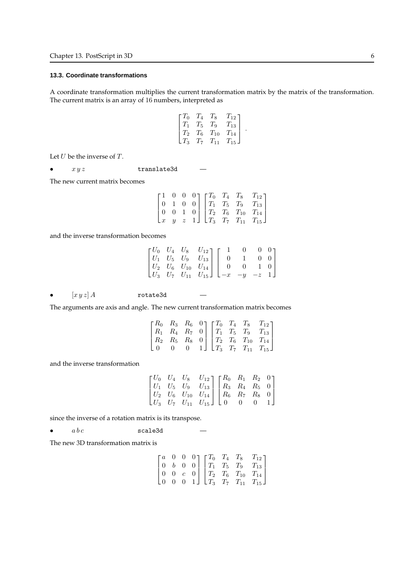# **13.3. Coordinate transformations**

A coordinate transformation multiplies the current transformation matrix by the matrix of the transformation. The current matrix is an array of 16 numbers, interpreted as

$$
\begin{bmatrix} T_0 & T_4 & T_8 & T_{12} \\ T_1 & T_5 & T_9 & T_{13} \\ T_2 & T_6 & T_{10} & T_{14} \\ T_3 & T_7 & T_{11} & T_{15} \end{bmatrix}.
$$

Let  $U$  be the inverse of  $T$ .

•  $xyz$  translate3d

The new current matrix becomes

|                 |  |  |  | $\begin{bmatrix} 1 & 0 & 0 & 0 \\ 0 & 1 & 0 & 0 \end{bmatrix} \begin{bmatrix} T_0 & T_4 & T_8 & T_{12} \\ T_1 & T_5 & T_9 & T_{13} \end{bmatrix}$       |
|-----------------|--|--|--|---------------------------------------------------------------------------------------------------------------------------------------------------------|
| $(0 \t 0 \t 1)$ |  |  |  | $\begin{bmatrix} 0 & 0 & 1 & 0 \\ x & y & z & 1 \end{bmatrix} \begin{bmatrix} T_2 & T_6 & T_{10} & T_{14} \\ T_3 & T_7 & T_{11} & T_{15} \end{bmatrix}$ |
|                 |  |  |  |                                                                                                                                                         |

and the inverse transformation becomes

|  |                                                                                                                                                                                                |  | U U 1 |
|--|------------------------------------------------------------------------------------------------------------------------------------------------------------------------------------------------|--|-------|
|  |                                                                                                                                                                                                |  |       |
|  |                                                                                                                                                                                                |  |       |
|  | $\begin{bmatrix} U_0&U_4&U_8&U_{12}\\ U_1&U_5&U_9&U_{13}\\ U_2&U_6&U_{10}&U_{14}\\ U_3&U_7&U_{11}&U_{15} \end{bmatrix} \begin{bmatrix} 1&0&0&0\\ 0&1&0&0\\ 0&0&1&0\\ -x&-y&-z&1 \end{bmatrix}$ |  |       |

•  $\left[xyz\right]A$  rotate3d

The arguments are axis and angle. The new current transformation matrix becomes

|  |  |  | $\begin{bmatrix} R_0 & R_3 & R_6 & 0 \end{bmatrix} \begin{bmatrix} T_0 & T_4 & T_8 & T_{12} \end{bmatrix}$ |
|--|--|--|------------------------------------------------------------------------------------------------------------|
|  |  |  | $R_1$ $R_4$ $R_7$ 0 $T_1$ $T_5$ $T_9$ $T_{13}$                                                             |
|  |  |  | $R_2$ $R_5$ $R_8$ 0 $T_2$ $T_6$ $T_{10}$ $T_{14}$                                                          |
|  |  |  | 1 $\Box$ $T_3$ $T_7$ $T_{11}$ $T_{15}$ $\Box$                                                              |

and the inverse transformation

|  | $\begin{bmatrix} U_0 & U_4 & U_8 & U_{12} \\ U_1 & U_5 & U_9 & U_{13} \\ \end{bmatrix} \begin{bmatrix} R_0 & R_1 & R_2 & 0 \\ R_3 & R_4 & R_5 & 0 \\ \end{bmatrix}$ |  |  |
|--|---------------------------------------------------------------------------------------------------------------------------------------------------------------------|--|--|
|  | $\begin{bmatrix} U_2 & U_6 & U_{10} & U_{14} \ U_3 & U_7 & U_{11} & U_{15} \end{bmatrix} \begin{bmatrix} R_6 & R_7 & R_8 & 0 \ 0 & 0 & 0 & 1 \end{bmatrix}$         |  |  |
|  |                                                                                                                                                                     |  |  |

since the inverse of a rotation matrix is its transpose.

•  $abc$  scale3d

The new 3D transformation matrix is

|                  |          | $\begin{bmatrix} a & 0 & 0 & 0 \\ 0 & 0 & 0 & 0 \\ 0 & 0 & 0 & 0 \\ 0 & 0 & 0 & 0 \\ 0 & 0 & 0 & 0 \\ 0 & 0 & 0 & 0 \\ 0 & 0 & 0 & 0 \\ 0 & 0 & 0 & 0 \\ 0 & 0 & 0 & 0 & 0 \\ 0 & 0 & 0 & 0 & 0 \\ 0 & 0 & 0 & 0 & 0 \\ 0 & 0 & 0 & 0 & 0 & 0 \\ 0 & 0 & 0 & 0 & 0 & 0 \\ 0 & 0 & 0 & 0 & 0 & 0 \\ 0 & 0 & 0 & 0 & 0 & 0 \\ 0$ |  | $T_{12}$                         |
|------------------|----------|--------------------------------------------------------------------------------------------------------------------------------------------------------------------------------------------------------------------------------------------------------------------------------------------------------------------------------|--|----------------------------------|
| $\boldsymbol{b}$ | $\theta$ |                                                                                                                                                                                                                                                                                                                                |  | $0$   $T_1$ $T_5$ $T_9$ $T_{13}$ |
| $\overline{0}$   |          |                                                                                                                                                                                                                                                                                                                                |  | $0   T_2 T_6 T_{10} T_{14}  $    |
| $\overline{0}$   |          |                                                                                                                                                                                                                                                                                                                                |  | 1 $T_3$ $T_7$ $T_{11}$ $T_{15}$  |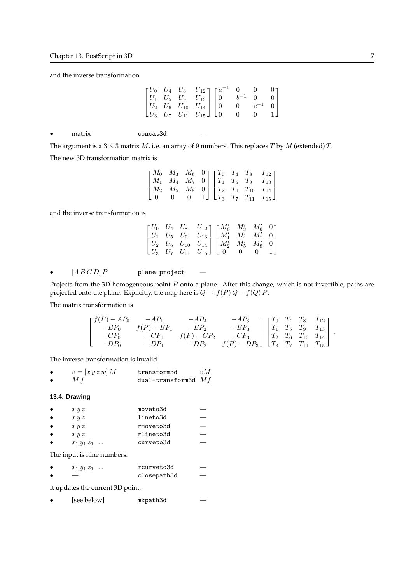and the inverse transformation

|           |                                                                                                         |          |  | $\begin{bmatrix} U_0 & U_4 & U_8 & U_{12} \\ U_1 & U_5 & U_9 & U_{13} \\ U_2 & U_6 & U_{10} & U_{14} \\ U_3 & U_7 & U_{11} & U_{15} \end{bmatrix} \begin{bmatrix} a^{-1} & 0 & 0 & 0 \\ 0 & b^{-1} & 0 & 0 \\ 0 & 0 & c^{-1} & 0 \\ 0 & 0 & 0 & 1 \end{bmatrix}$ |  |  |
|-----------|---------------------------------------------------------------------------------------------------------|----------|--|------------------------------------------------------------------------------------------------------------------------------------------------------------------------------------------------------------------------------------------------------------------|--|--|
| $\bullet$ | matrix                                                                                                  | concat3d |  |                                                                                                                                                                                                                                                                  |  |  |
|           | The argument is a $3 \times 3$ matrix M, i.e. an array of 9 numbers. This replaces T by M (extended) T. |          |  |                                                                                                                                                                                                                                                                  |  |  |
|           | The new 3D transformation matrix is                                                                     |          |  |                                                                                                                                                                                                                                                                  |  |  |
|           |                                                                                                         |          |  | $\begin{bmatrix} M_0 & M_3 & M_6 & 0 \end{bmatrix} \begin{bmatrix} T_0 & T_4 & T_8 & T_{12} \end{bmatrix}$                                                                                                                                                       |  |  |

 $\left| \right|$  $M_1$   $M_4$   $M_7$  0  $M_2$   $M_5$   $M_8$  0 0 0 0 1  $\vert$  $\left| \right|$  $T_1$   $T_5$   $T_9$   $T_{13}$  $T_2$   $T_6$   $T_{10}$   $T_{14}$  $T_3$   $T_7$   $T_{11}$   $T_{15}$  $\left| \right|$ 

and the inverse transformation is

|  | $\begin{bmatrix} U_0 & U_4 & U_8 & U_{12} \\ U_1 & U_5 & U_9 & U_{13} \\ U_2 & U_6 & U_{10} & U_{14} \\ U_3 & U_7 & U_{11} & U_{15} \end{bmatrix} \begin{bmatrix} M_0' & M_3' & M_6' & 0 \\ M_1' & M_4' & M_7' & 0 \\ M_2' & M_5' & M_8' & 0 \\ 0 & 0 & 0 & 1 \end{bmatrix}$ |  |  |
|--|------------------------------------------------------------------------------------------------------------------------------------------------------------------------------------------------------------------------------------------------------------------------------|--|--|
|  |                                                                                                                                                                                                                                                                              |  |  |
|  |                                                                                                                                                                                                                                                                              |  |  |

•  $[ABCD]P$  plane-project

Projects from the 3D homogeneous point  $P$  onto a plane. After this change, which is not invertible, paths are projected onto the plane. Explicitly, the map here is  $Q \mapsto f(P) Q - f(Q) P$ .

The matrix transformation is

$$
\begin{bmatrix} f(P) - AP_0 & -AP_1 & -AP_2 & -AP_3 \ -BP_0 & f(P) - BP_1 & -BP_2 & -BP_3 \ -CP_0 & -CP_1 & f(P) - CP_2 & -CP_3 \ -DP_0 & -DP_1 & -DP_2 & f(P) - DP_3 \end{bmatrix} \begin{bmatrix} T_0 & T_4 & T_8 & T_{12} \ T_1 & T_5 & T_9 & T_{13} \ T_2 & T_6 & T_{10} & T_{14} \ T_3 & T_7 & T_{11} & T_{15} \end{bmatrix}.
$$

The inverse transformation is invalid.

| $v = [x y z w] M$ | transform3d           | vM |
|-------------------|-----------------------|----|
| M f               | dual-transform3d $Mf$ |    |

# **13.4. Drawing**

| $\bullet$ | x y z             | moveto3d  |  |
|-----------|-------------------|-----------|--|
| $\bullet$ | x y z             | lineto3d  |  |
| $\bullet$ | x y z             | rmoveto3d |  |
| $\bullet$ | x y z             | rlineto3d |  |
|           | $x_1y_1z_1\ldots$ | curveto3d |  |

The input is nine numbers.

| $x_1 y_1 z_1 \ldots$ | rcurveto3d | ___ |
|----------------------|------------|-----|
|----------------------|------------|-----|

closepath3d

It updates the current 3D point.

• [see below] mkpath3d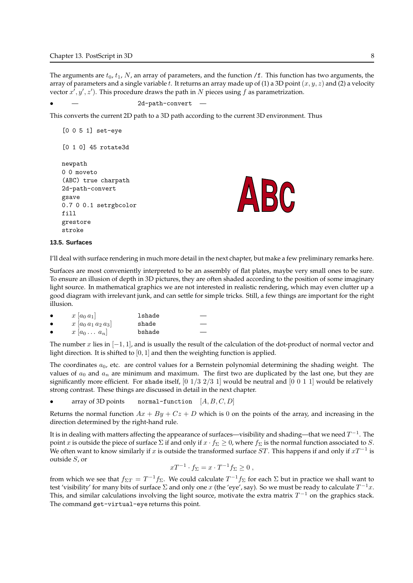The arguments are  $t_0$ ,  $t_1$ , N, an array of parameters, and the function /f. This function has two arguments, the array of parameters and a single variable t. It returns an array made up of (1) a 3D point  $(x, y, z)$  and (2) a velocity vector  $x^i, y', z'$ ). This procedure draws the path in N pieces using f as parametrization.

```
2d-path-convert
```
This converts the current 2D path to a 3D path according to the current 3D environment. Thus

```
[0 0 5 1] set-eye
[0 1 0] 45 rotate3d
newpath
0 0 moveto
(ABC) true charpath
2d-path-convert
gsave
0.7 0 0.1 setrgbcolor
fill
grestore
stroke
```


#### **13.5. Surfaces**

I'll deal with surface rendering in much more detail in the next chapter, but make a few preliminary remarks here.

Surfaces are most conveniently interpreted to be an assembly of flat plates, maybe very small ones to be sure. To ensure an illusion of depth in 3D pictures, they are often shaded according to the position of some imaginary light source. In mathematical graphics we are not interested in realistic rendering, which may even clutter up a good diagram with irrelevant junk, and can settle for simple tricks. Still, a few things are important for the right illusion.

|           | $x  a_0 a_1 $         | lshade |
|-----------|-----------------------|--------|
| $\bullet$ | $x [a_0 a_1 a_2 a_3]$ | shade  |
|           | $x [a_0 \ldots a_n]$  | bshade |

The number x lies in  $[-1, 1]$ , and is usually the result of the calculation of the dot-product of normal vector and light direction. It is shifted to  $[0, 1]$  and then the weighting function is applied.

The coordinates  $a_0$ , etc. are control values for a Bernstein polynomial determining the shading weight. The values of  $a_0$  and  $a_n$  are minimum and maximum. The first two are duplicated by the last one, but they are significantly more efficient. For shade itself,  $[0 \ 1/3 \ 2/3 \ 1]$  would be neutral and  $[0 \ 0 \ 1 \ 1]$  would be relatively strong contrast. These things are discussed in detail in the next chapter.

• array of 3D points normal-function  $[A, B, C, D]$ 

Returns the normal function  $Ax + By + Cz + D$  which is 0 on the points of the array, and increasing in the direction determined by the right-hand rule.

It is in dealing with matters affecting the appearance of surfaces—visibility and shading—that we need  $T^{-1}$ . The point x is outside the piece of surface  $\Sigma$  if and only if  $x \cdot f_\Sigma \geq 0$ , where  $f_\Sigma$  is the normal function associated to S. We often want to know similarly if  $x$  is outside the transformed surface  $ST$ . This happens if and only if  $xT^{-1}$  is outside S, or

$$
xT^{-1} \cdot f_{\Sigma} = x \cdot T^{-1} f_{\Sigma} \ge 0 ,
$$

from which we see that  $f_{\Sigma T}=T^{-1}f_\Sigma.$  We could calculate  $T^{-1}f_\Sigma$  for each  $\Sigma$  but in practice we shall want to test 'visibility' for many bits of surface  $\Sigma$  and only one x (the 'eye', say). So we must be ready to calculate  $T^{-1}x$ . This, and similar calculations involving the light source, motivate the extra matrix  $T^{-1}$  on the graphics stack. The command get-virtual-eye returns this point.